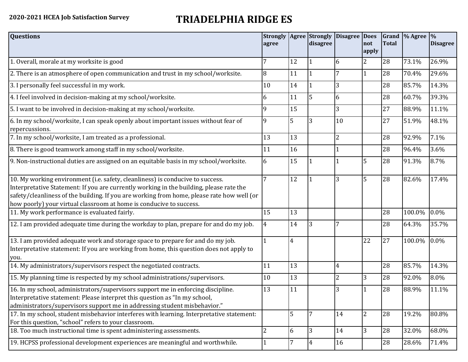## **2020-2021 HCEA Job Satisfaction Survey TRIADELPHIA RIDGE ES**

| <b>Questions</b>                                                                                                                                                                                                                                                                                                                               | <b>Strongly</b><br>agree |                | disagree       | Agree Strongly Disagree | <b>Does</b><br>not<br>apply | <b>Total</b> | Grand  % Agree  % | <b>Disagree</b> |
|------------------------------------------------------------------------------------------------------------------------------------------------------------------------------------------------------------------------------------------------------------------------------------------------------------------------------------------------|--------------------------|----------------|----------------|-------------------------|-----------------------------|--------------|-------------------|-----------------|
| 1. Overall, morale at my worksite is good                                                                                                                                                                                                                                                                                                      |                          | 12             |                | 6                       | 2                           | 28           | 73.1%             | 26.9%           |
| 2. There is an atmosphere of open communication and trust in my school/worksite.                                                                                                                                                                                                                                                               | 8                        | 11             |                | 7                       | $\mathbf{1}$                | 28           | 70.4%             | 29.6%           |
| 3. I personally feel successful in my work.                                                                                                                                                                                                                                                                                                    | 10                       | 14             |                | 3                       |                             | 28           | 85.7%             | 14.3%           |
| 4. I feel involved in decision-making at my school/worksite.                                                                                                                                                                                                                                                                                   | 6                        | 11             | 5              | 6                       |                             | 28           | 60.7%             | 39.3%           |
| 5. I want to be involved in decision-making at my school/worksite.                                                                                                                                                                                                                                                                             | 9                        | 15             |                | 3                       |                             | 27           | 88.9%             | 11.1%           |
| 6. In my school/worksite, I can speak openly about important issues without fear of<br>repercussions.                                                                                                                                                                                                                                          | 9                        | 5              | 3              | 10                      |                             | 27           | 51.9%             | 48.1%           |
| 7. In my school/worksite, I am treated as a professional.                                                                                                                                                                                                                                                                                      | 13                       | 13             |                | $\overline{2}$          |                             | 28           | 92.9%             | 7.1%            |
| 8. There is good teamwork among staff in my school/worksite.                                                                                                                                                                                                                                                                                   | 11                       | 16             |                |                         |                             | 28           | 96.4%             | 3.6%            |
| 9. Non-instructional duties are assigned on an equitable basis in my school/worksite.                                                                                                                                                                                                                                                          | 6                        | 15             |                |                         | 5                           | 28           | 91.3%             | 8.7%            |
| 10. My working environment (i.e. safety, cleanliness) is conducive to success.<br>Interpretative Statement: If you are currently working in the building, please rate the<br>safety/cleanliness of the building. If you are working from home, please rate how well (or<br>how poorly) your virtual classroom at home is conducive to success. | 7                        | 12             |                | 3                       | 5                           | 28           | 82.6%             | 17.4%           |
| 11. My work performance is evaluated fairly.                                                                                                                                                                                                                                                                                                   | 15                       | 13             |                |                         |                             | 28           | 100.0%            | 0.0%            |
| 12. I am provided adequate time during the workday to plan, prepare for and do my job.                                                                                                                                                                                                                                                         | 4                        | 14             | 3              |                         |                             | 28           | 64.3%             | 35.7%           |
| 13. I am provided adequate work and storage space to prepare for and do my job.<br>Interpretative statement: If you are working from home, this question does not apply to<br>you.                                                                                                                                                             |                          | $\overline{4}$ |                |                         | 22                          | 27           | 100.0%            | 0.0%            |
| 14. My administrators/supervisors respect the negotiated contracts.                                                                                                                                                                                                                                                                            | 11                       | 13             |                | 4                       |                             | 28           | 85.7%             | 14.3%           |
| 15. My planning time is respected by my school administrations/supervisors.                                                                                                                                                                                                                                                                    | 10                       | 13             |                | 2                       | 3                           | 28           | 92.0%             | 8.0%            |
| 16. In my school, administrators/supervisors support me in enforcing discipline.<br>Interpretative statement: Please interpret this question as "In my school,<br>administrators/supervisors support me in addressing student misbehavior."                                                                                                    | 13                       | 11             |                | 3                       |                             | 28           | 88.9%             | 11.1%           |
| 17. In my school, student misbehavior interferes with learning. Interpretative statement:<br>For this question, "school" refers to your classroom.                                                                                                                                                                                             |                          | 5              | 7              | 14                      | $\overline{2}$              | 28           | 19.2%             | 80.8%           |
| 18. Too much instructional time is spent administering assessments.                                                                                                                                                                                                                                                                            | 2                        | 6              | 3              | 14                      | 3                           | 28           | 32.0%             | 68.0%           |
| 19. HCPSS professional development experiences are meaningful and worthwhile.                                                                                                                                                                                                                                                                  |                          | 7              | $\overline{4}$ | 16                      |                             | 28           | 28.6%             | 71.4%           |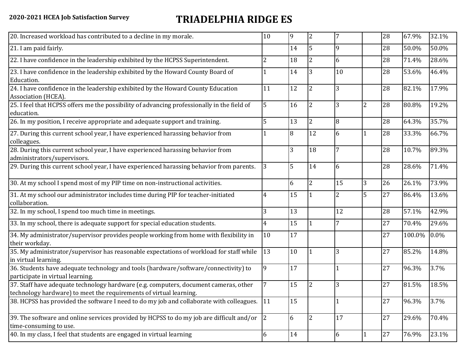## **2020-2021 HCEA Job Satisfaction Survey TRIADELPHIA RIDGE ES**

| 20. Increased workload has contributed to a decline in my morale.                                                                                          | 10 | 9  | $\overline{2}$ | 7              |                | 28     | 67.9%  | 32.1%   |
|------------------------------------------------------------------------------------------------------------------------------------------------------------|----|----|----------------|----------------|----------------|--------|--------|---------|
| 21. I am paid fairly.                                                                                                                                      |    | 14 | 5              | 9              |                | 28     | 50.0%  | 50.0%   |
| 22. I have confidence in the leadership exhibited by the HCPSS Superintendent.                                                                             | 2  | 18 | $\overline{2}$ | 6              |                | 28     | 71.4%  | 28.6%   |
| 23. I have confidence in the leadership exhibited by the Howard County Board of<br>Education.                                                              |    | 14 | 3              | 10             |                | 28     | 53.6%  | 46.4%   |
| 24. I have confidence in the leadership exhibited by the Howard County Education<br>Association (HCEA).                                                    | 11 | 12 | $\overline{2}$ | 3              |                | 28     | 82.1%  | 17.9%   |
| 25. I feel that HCPSS offers me the possibility of advancing professionally in the field of<br>education.                                                  | 5  | 16 | $\overline{2}$ | 3              | $\overline{2}$ | 28     | 80.8%  | 19.2%   |
| 26. In my position, I receive appropriate and adequate support and training.                                                                               |    | 13 | $\overline{2}$ | 8              |                | 28     | 64.3%  | 35.7%   |
| 27. During this current school year, I have experienced harassing behavior from<br>colleagues.                                                             |    | 8  | 12             | 6              |                | 28     | 33.3%  | 66.7%   |
| 28. During this current school year, I have experienced harassing behavior from<br>administrators/supervisors.                                             |    | 3  | 18             | 7              |                | 28     | 10.7%  | 89.3%   |
| 29. During this current school year, I have experienced harassing behavior from parents.                                                                   | 3  | 5  | 14             | 6              |                | 28     | 28.6%  | 71.4%   |
| 30. At my school I spend most of my PIP time on non-instructional activities.                                                                              |    | 6  | $\overline{2}$ | 15             | 3              | 26     | 26.1%  | 73.9%   |
| 31. At my school our administrator includes time during PIP for teacher-initiated<br>collaboration.                                                        | 4  | 15 |                | $\overline{2}$ | 5              | 27     | 86.4%  | 13.6%   |
| 32. In my school, I spend too much time in meetings.                                                                                                       | 3  | 13 |                | 12             |                | 28     | 57.1%  | 42.9%   |
| 33. In my school, there is adequate support for special education students.                                                                                | 4  | 15 |                | 7              |                | 27     | 70.4%  | 29.6%   |
| 34. My administrator/supervisor provides people working from home with flexibility in<br>their workday.                                                    | 10 | 17 |                |                |                | 27     | 100.0% | $0.0\%$ |
| 35. My administrator/supervisor has reasonable expectations of workload for staff while<br>in virtual learning.                                            | 13 | 10 |                | 3              |                | 27     | 85.2%  | 14.8%   |
| 36. Students have adequate technology and tools (hardware/software/connectivity) to<br>participate in virtual learning.                                    | 9  | 17 |                |                |                | 27     | 96.3%  | 3.7%    |
| 37. Staff have adequate technology hardware (e.g. computers, document cameras, other<br>technology hardware) to meet the requirements of virtual learning. |    | 15 | 2              | 3              |                | 27     | 81.5%  | 18.5%   |
| 38. HCPSS has provided the software I need to do my job and collaborate with colleagues. 11                                                                |    | 15 |                |                |                | 27     | 96.3%  | 3.7%    |
| 39. The software and online services provided by HCPSS to do my job are difficult and/or<br>time-consuming to use.                                         | 2  | 6  | 2              | 17             |                | 27     | 29.6%  | 70.4%   |
| 40. In my class, I feel that students are engaged in virtual learning                                                                                      | 6  | 14 |                | 6              |                | $27\,$ | 76.9%  | 23.1%   |